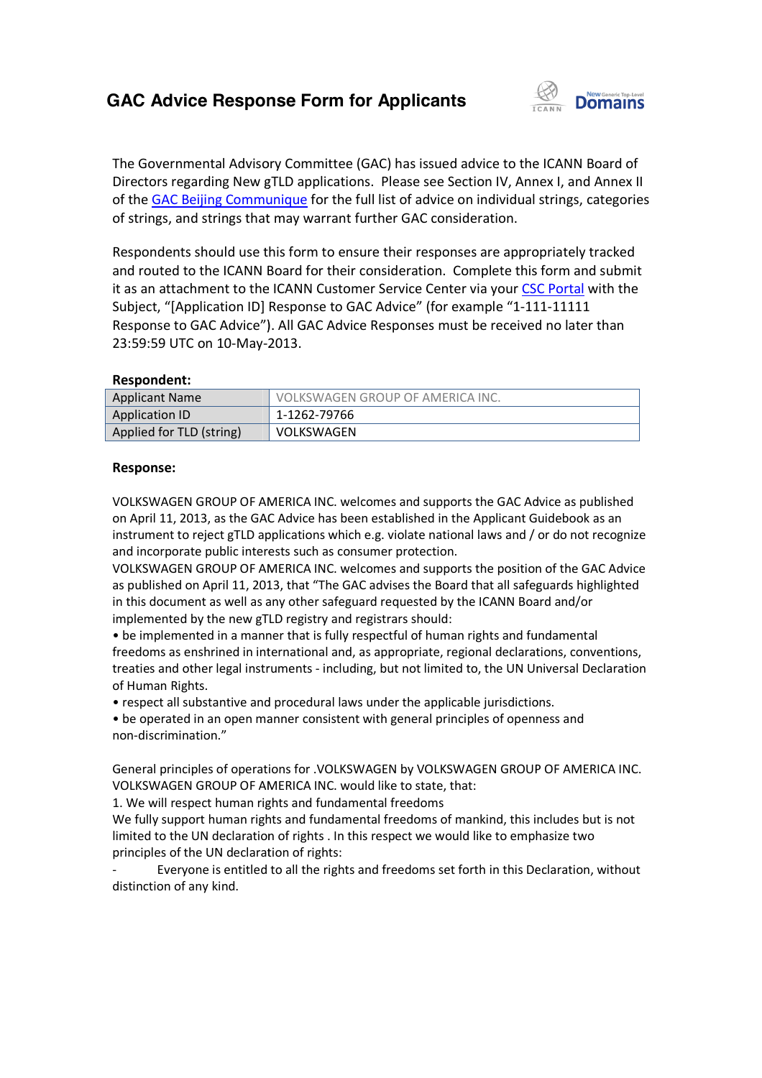## **GAC Advice Response Form for Applicants**



The Governmental Advisory Committee (GAC) has issued advice to the ICANN Board of Directors regarding New gTLD applications. Please see Section IV, Annex I, and Annex II of the **GAC Beijing Communique** for the full list of advice on individual strings, categories of strings, and strings that may warrant further GAC consideration.

Respondents should use this form to ensure their responses are appropriately tracked and routed to the ICANN Board for their consideration. Complete this form and submit it as an attachment to the ICANN Customer Service Center via your CSC Portal with the Subject, "[Application ID] Response to GAC Advice" (for example "1-111-11111 Response to GAC Advice"). All GAC Advice Responses must be received no later than 23:59:59 UTC on 10-May-2013. form to ensure their responses are approp<br>rd for their consideration. Complete this f<br>\NN Customer Service Center via your <u>CSC</u> see Section IV, Annex I, and Annex II<br>dvice on individual strings, categories<br>Consideration.<br>esponses are appropriately tracked<br>ion. Complete this form and submit<br>Center via your CSC Portal with the

#### **Respondent:**

| 23:59:59 UTC on 10-May-2013. |                                  |
|------------------------------|----------------------------------|
| Respondent:                  |                                  |
| <b>Applicant Name</b>        | VOLKSWAGEN GROUP OF AMERICA INC. |
| <b>Application ID</b>        | 1-1262-79766                     |
| Applied for TLD (string)     | <b>VOLKSWAGEN</b>                |

#### **Response:**

VOLKSWAGEN GROUP OF AMERICA INC. welcomes and supports the GAC Advice as published on April 11, 2013, as the GAC Advice has been established in the Applicant Guidebook as an instrument to reject gTLD applications which e.g. violate national laws and / or do not recognize and incorporate public interests such as consumer protection.

VOLKSWAGEN GROUP OF AMERICA INC. welcomes and supports the position of the GAC Advice as published on April 11, 2013, that "The GAC advises the Board that all safeguards highlighted in this document as well as any other safeguard requested by the ICANN Board and/or implemented by the new gTLD registry and registrars should: AGEN GROUP OF AMERICA INC. welcomes and supports the GAC Advice as published<br>11, 2013, as the GAC Advice has been established in the Applicant Guidebook as an<br>ent to reject gTLD applications which e.g. violate national law

• be implemented in a manner that is fully respectful of human rights and fundamental freedoms as enshrined in international and, as appropriate, regional declarations, conventions, treaties and other legal instruments - including, but not limited to, the UN Universal Declaration of Human Rights. VOLKSWAGEN GROUP OF AMERICA INC. welcomes and supports the GAC Advice as published<br>on Appli1 1, 2013, as the GAC Advice has been established in the Applicant Guidebook as an<br>instrument to reject gTLD applications which e.g

• respect all substantive and procedural laws under the applicable jurisdictions.

• be operated in an open manner consistent with general principles of openness and non-discrimination."

General principles of operations for .VOLKSWAGEN by VOLKSWAGEN GROUP OF AMERICA INC. VOLKSWAGEN GROUP OF AMERICA INC. would like to state, that:

1. We will respect human rights and fundamental freedoms

We fully support human rights and fundamental freedoms of mankind, this includes but is not limited to the UN declaration of rights . In this respect we would like to emphasize two principles of the UN declaration of rights:

Everyone is entitled to all the rights and freedoms set forth in this Declaration, without distinction of any kind.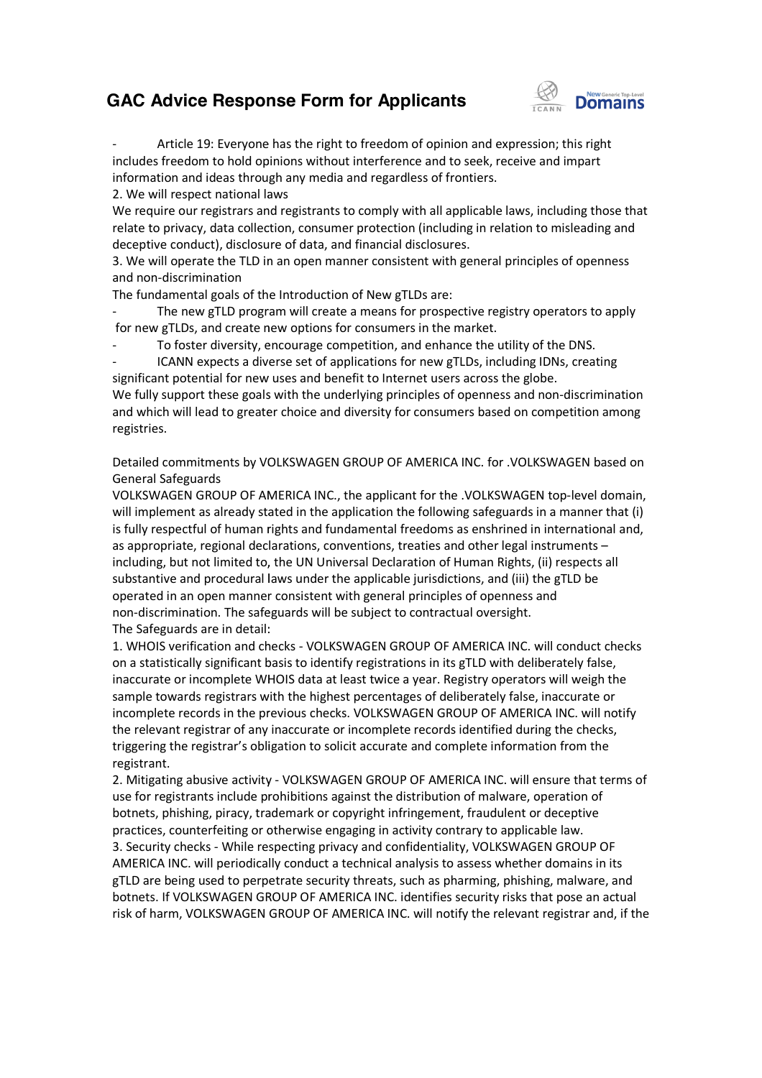### **GAC Advice Response Form for Applicants**



- Article 19: Everyone has the right to freedom of opinion and expression; this right includes freedom to hold opinions without interference and to seek, receive and impart information and ideas through any media and regardless of frontiers.

2. We will respect national laws

We require our registrars and registrants to comply with all applicable laws, including those that relate to privacy, data collection, consumer protection (including in relation to misleading and deceptive conduct), disclosure of data, and financial discl disclosures. Id opinions without interference and to seek, receive and impart<br>through any media and regardless of frontiers.<br>Dial laws<br>ars and registrants to comply with all applicable laws, including those that<br>collection, consumer pr

3. We will operate the TLD in an open manner consistent with general principles of openness and non-discrimination

The fundamental goals of the Introduction of New gTLDs are:

The new gTLD program will create a means for prospective registry operators to apply for new gTLDs, and create new options for consumers in the market.

To foster diversity, encourage competition, and enhance the utility of the DNS.

- ICANN expects a diverse set of applications for new gTLDs, including IDNs, creating significant potential for new uses and benefit to Internet users across the globe. - ICANN expects a diverse set of applications for new gTLDs, including IDNs, creating<br>significant potential for new uses and benefit to Internet users across the globe.<br>We fully support these goals with the underlying prin and which will lead to greater choice and diversity for consumers based on competition among registries. icant potential for new uses and benefit to Internet users across the globe.<br>
ully support these goals with the underlying principles of openness and non-discrimination<br>
which will lead to greater choice and diversity for

Detailed commitments by VOLKSWAGEN GROUP OF AMERICA INC. for .VOLKSWAGEN based on General Safeguards Detailed commitments by VOLKSWAGEN GROUP OF AMERICA INC. for .VOLKSWAGEN based on<br>General Safeguards<br>VOLKSWAGEN GROUP OF AMERICA INC., the applicant for the .VOLKSWAGEN top-level domain,

will implement as already stated in the application the following safeguards in a manner that (i) is fully respectful of human rights and fundamental freedoms as enshrined in international and, as appropriate, regional declarations, conventions, treaties and other legal instruments including, but not limited to, the UN Universal Declaration of Human Rights, (ii) respects all substantive and procedural laws under the applicable jurisdictions, and (iii) the gTLD be operated in an open manner consistent with general principles of openness and non-discrimination. The safeguards will be subject to contractual oversight. The Safeguards are in detail: as appropriate, regional declarations, conventions, treaties and other legal instruments –<br>including, but not limited to, the UN Universal Declaration of Human Rights, (ii) respects all<br>substantive and procedural laws unde tion the following safeguards in a manner t<br>ental freedoms as enshrined in internationa<br>ons, treaties and other legal instruments – ns, and (iii) the gTLD be<br>f openness and<br>l oversight.<br>ERICA INC. will conduct ch<br>LD with deliberately false,

on a statistically significant basis to identify registrations in its gTLD with deliberately false, inaccurate or incomplete WHOIS data at least twice a year. Registry operators will weigh the sample towards registrars with the highest percentages of deliberately false, inaccurate or inaccurate or incomplete WHOIS data at least twice a year. Registry operators will weigh the<br>sample towards registrars with the highest percentages of deliberately false, inaccurate or<br>incomplete records in the previous ch the relevant registrar of any inaccurate or incomplete records identified during the checks, triggering the registrar's obligation to solicit accurate and complete information from the registrant.

2. Mitigating abusive activity - VOLKSWAGEN GROUP OF AMERICA INC. will ensure that terms of use for registrants include prohibitions against the distribution of malware, operation of botnets, phishing, piracy, trademark or copyright infringement, fraudulent or deceptive practices, counterfeiting or otherwise engaging in activity contrary to applicable law. 3. Security checks - While respecting privacy and confidentiality, VOLKSWAGEN GROUP OF 2. Mitigating abusive activity - VOLKSWAGEN GROUP OF AMERICA INC. will ensure that term<br>use for registrants include prohibitions against the distribution of malware, operation of<br>botnets, phishing, piracy, trademark or cop gTLD are being used to perpetrate security threats, such as pharming, phishing, malware, and gTLD are being used to perpetrate security threats, such as pharming, phishing, malware, and<br>botnets. If VOLKSWAGEN GROUP OF AMERICA INC. identifies security risks that pose an actual risk of harm, VOLKSWAGEN GROUP OF AMERICA INC. will notify the relevant registrar and, if the Provergistrants include prohibitions<br>
ets, phishing, piracy, trademark or<br>
ices, counterfeiting or otherwise e<br>
curity checks - While respecting pr<br>
RICA INC. will periodically conduct<br>
are being used to perpetrate secu